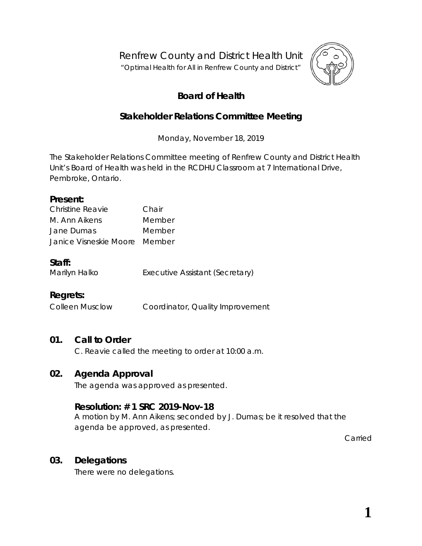Renfrew County and District Health Unit

"*Optimal Health for All in Renfrew County and District"*



# **Board of Health**

## **Stakeholder Relations Committee Meeting**

Monday, November 18, 2019

The Stakeholder Relations Committee meeting of Renfrew County and District Health Unit's Board of Health was held in the RCDHU Classroom at 7 International Drive, Pembroke, Ontario.

#### **Present:**

| Christine Reavie              | Chair  |
|-------------------------------|--------|
| M. Ann Aikens                 | Member |
| Jane Dumas                    | Member |
| Janice Visneskie Moore Member |        |

#### **Staff:**

Marilyn Halko **Executive Assistant (Secretary)** 

## **Regrets:**

Colleen Musclow Coordinator, Quality Improvement

## **01. Call to Order**

C. Reavie called the meeting to order at 10:00 a.m.

## **02. Agenda Approval**

The agenda was approved as presented.

## **Resolution: # 1 SRC 2019-Nov-18**

A motion by M. Ann Aikens; seconded by J. Dumas; be it resolved that the agenda be approved, as presented.

Carried

#### **03. Delegations**

There were no delegations.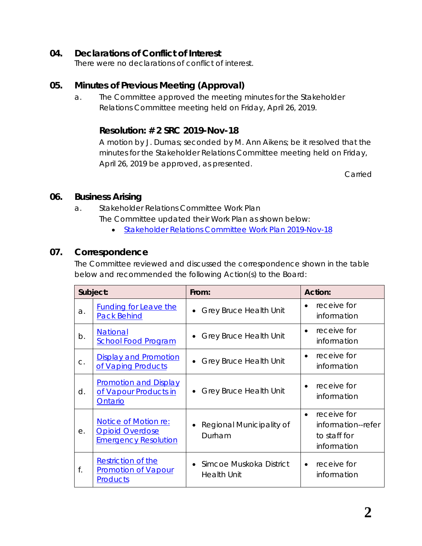### **04. Declarations of Conflict of Interest**

There were no declarations of conflict of interest.

### **05. Minutes of Previous Meeting (Approval)**

a. The Committee approved the meeting minutes for the Stakeholder Relations Committee meeting held on Friday, April 26, 2019.

#### **Resolution: # 2 SRC 2019-Nov-18**

A motion by J. Dumas; seconded by M. Ann Aikens; be it resolved that the minutes for the Stakeholder Relations Committee meeting held on Friday, April 26, 2019 be approved, as presented.

Carried

#### **06. Business Arising**

- a. Stakeholder Relations Committee Work Plan The Committee updated their Work Plan as shown below:
	- [Stakeholder Relations Committee Work Plan 2019-Nov-18](http://portal.rcdhu.com/board/wp-content/uploads/2019/11/Stakeholder-Relations-Committee-Work-Plan-2019-Draft-updated-2019-Nov-18.pdf)

#### **07. Correspondence**

The Committee reviewed and discussed the correspondence shown in the table below and recommended the following *Action*(s) to the Board:

| Subject: |                                                                                      | From:                                                      | <b>Action:</b>                                                                |  |
|----------|--------------------------------------------------------------------------------------|------------------------------------------------------------|-------------------------------------------------------------------------------|--|
| a.       | <b>Funding for Leave the</b><br><b>Pack Behind</b>                                   | <b>Grey Bruce Health Unit</b>                              | receive for<br>information                                                    |  |
| b.       | <b>National</b><br><b>School Food Program</b>                                        | <b>Grey Bruce Health Unit</b>                              | receive for<br>information                                                    |  |
| C.       | <b>Display and Promotion</b><br>of Vaping Products                                   | <b>Grey Bruce Health Unit</b>                              | receive for<br>$\bullet$<br>information                                       |  |
| d.       | <b>Promotion and Display</b><br>of Vapour Products in<br>Ontario                     | <b>Grey Bruce Health Unit</b>                              | receive for<br>information                                                    |  |
| е.       | <b>Notice of Motion re:</b><br><b>Opioid Overdose</b><br><b>Emergency Resolution</b> | Regional Municipality of<br>Durham                         | receive for<br>$\bullet$<br>information--refer<br>to staff for<br>information |  |
| f.       | <b>Restriction of the</b><br><b>Promotion of Vapour</b><br><b>Products</b>           | Simcoe Muskoka District<br>$\bullet$<br><b>Health Unit</b> | receive for<br>$\bullet$<br>information                                       |  |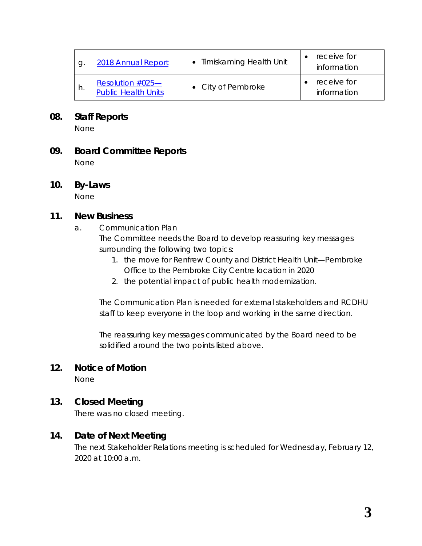| g  | 2018 Annual Report                                | • Timiskaming Health Unit | receive for<br>information |
|----|---------------------------------------------------|---------------------------|----------------------------|
| h. | Resolution $#025$ —<br><b>Public Health Units</b> | • City of Pembroke        | receive for<br>information |

#### **08. Staff Reports**

None

### **09. Board Committee Reports**

None

# **10. By-Laws**

None

#### **11. New Business**

a. Communication Plan

The Committee needs the Board to develop reassuring key messages surrounding the following two topics:

- 1. the move for Renfrew County and District Health Unit—Pembroke Office to the Pembroke City Centre location in 2020
- 2. the potential impact of public health modernization.

The Communication Plan is needed for external stakeholders and RCDHU staff to keep everyone in the loop and working in the same direction.

The reassuring key messages communicated by the Board need to be solidified around the two points listed above.

## **12. Notice of Motion**

None

## **13. Closed Meeting**

There was no closed meeting.

#### **14. Date of Next Meeting**

The next Stakeholder Relations meeting is scheduled for Wednesday, February 12, 2020 at 10:00 a.m.